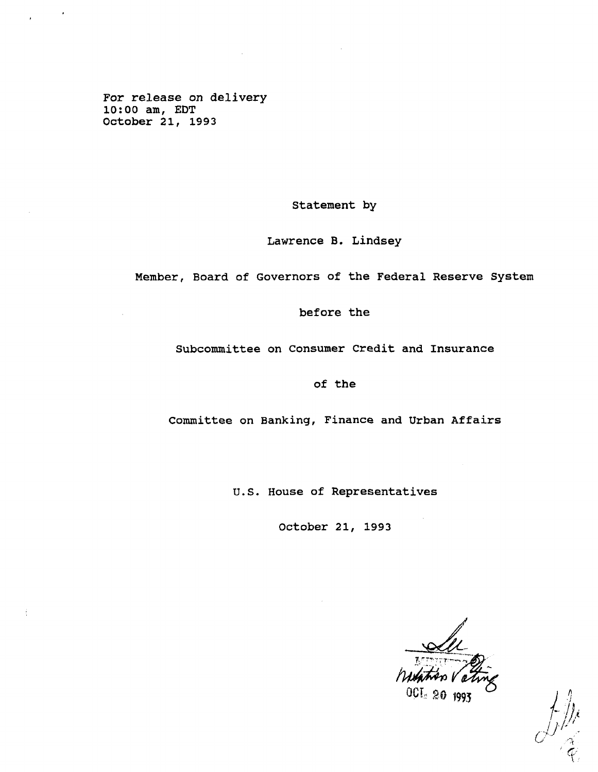**For release on delivery 10:00 am, EDT October 21, 1993**

**Statement by**

**Lawrence B. Lindsey**

**Member, Board of Governors of the Federal Reserve System**

**before the**

**Subcommittee on Consumer Credit and Insurance**

**of the**

**Committee on Banking, Finance and Urban Affairs**

**U.S. House of Representatives**

**October 21, 1993**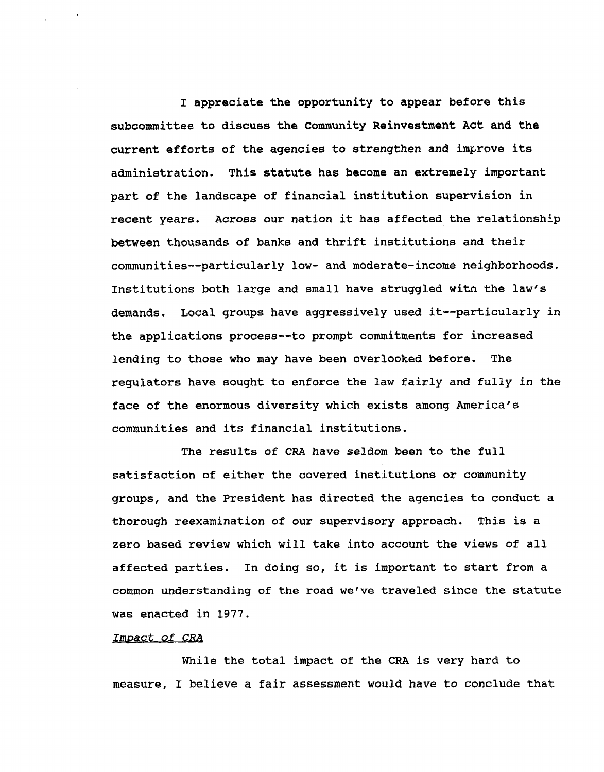**I appreciate the opportunity to appear before this subcommittee to discuss the Community Reinvestment Act and the current efforts of the agencies to strengthen and improve its administration. This statute has become an extremely important part of the landscape of financial institution supervision in recent years. Across our nation it has affected the relationship between thousands of banks and thrift institutions and their communities—particularly low- and moderate-income neighborhoods. Institutions both large and small have struggled witn the law's demands. Local groups have aggressively used it—particularly in the applications process—to prompt commitments for increased lending to those who may have been overlooked before. The regulators have sought to enforce the law fairly and fully in the face of the enormous diversity which exists among America's communities and its financial institutions.**

**The results of CRA have seldom been to the full satisfaction of either the covered institutions or community groups, and the President has directed the agencies to conduct a thorough reexamination of our supervisory approach. This is a zero based review which will take into account the views of all affected parties. In doing so, it is important to start from a common understanding of the road we've traveled since the statute was enacted in 1977.**

### Impact of CRA

**While the total impact of the CRA is very hard to measure, I believe a fair assessment would have to conclude that**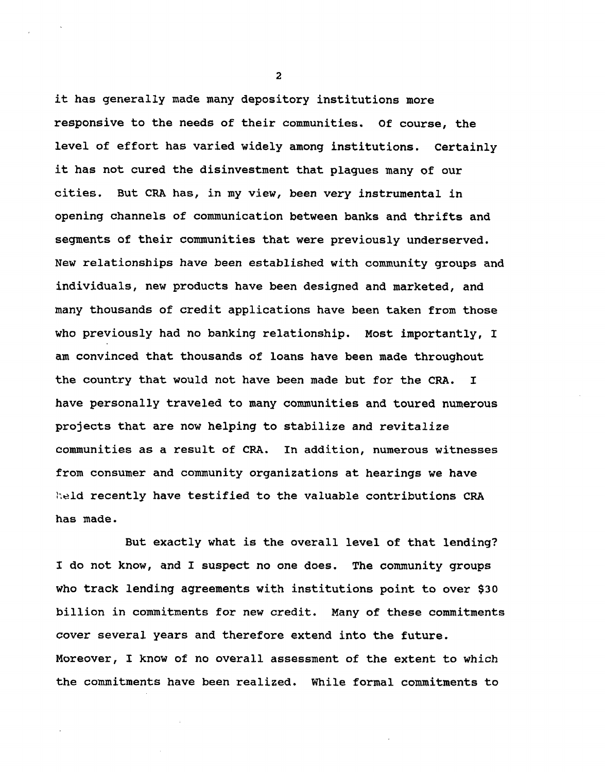**it has generally made many depository institutions more responsive to the needs of their communities. Of course, the level of effort has varied widely among institutions. Certainly it has not cured the disinvestment that plagues many of our cities. But CRA has, in my view, been very instrumental in opening channels of communication between banks and thrifts and segments of their communities that were previously underserved. New relationships have been established with community groups and individuals, new products have been designed and marketed, and many thousands of credit applications have been taken from those who previously had no banking relationship. Most importantly, I am convinced that thousands of loans have been made throughout the country that would not have been made but for the CRA. I have personally traveled to many communities and toured numerous projects that are now helping to stabilize and revitalize communities as a result of CRA. In addition, numerous witnesses from consumer and community organizations at hearings we have htald recently have testified to the valuable contributions CRA has made.**

**But exactly what is the overall level of that lending? I do not know, and I suspect no one does. The community groups who track lending agreements with institutions point to over \$30 billion in commitments for new credit. Many of these commitments cover several years and therefore extend into the future. Moreover, I know of no overall assessment of the extent to which the commitments have been realized. While formal commitments to**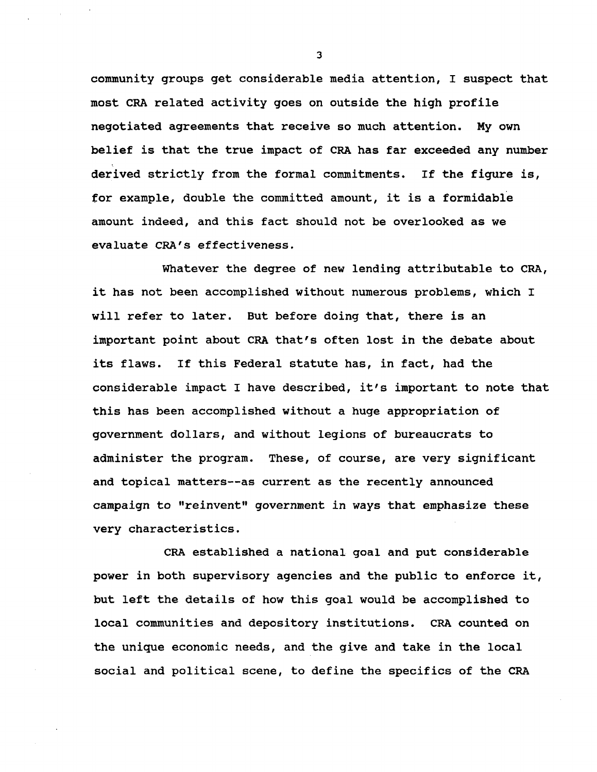**community groups get considerable media attention, I suspect that most CRA related activity goes on outside the high profile negotiated agreements that receive so much attention. My own belief is that the true impact of CRA has far exceeded any number derived strictly from the formal commitments. If the figure is, for example, double the committed amount, it is a formidable amount indeed, and this fact should not be overlooked as we evaluate CRA's effectiveness.**

**Whatever the degree of new lending attributable to CRA, it has not been accomplished without numerous problems, which I will refer to later. But before doing that, there is an important point about CRA that's often lost in the debate about its flaws. If this Federal statute has, in fact, had the considerable impact I have described, it's important to note that this has been accomplished without a huge appropriation of government dollars, and without legions of bureaucrats to administer the program. These, of course, are very significant and topical matters—as current as the recently announced campaign to "reinvent" government in ways that emphasize these very characteristics.**

**CRA established a national goal and put considerable power in both supervisory agencies and the public to enforce it, but left the details of how this goal would be accomplished to local communities and depository institutions. CRA counted on the unique economic needs, and the give and take in the local social and political scene, to define the specifics of the CRA**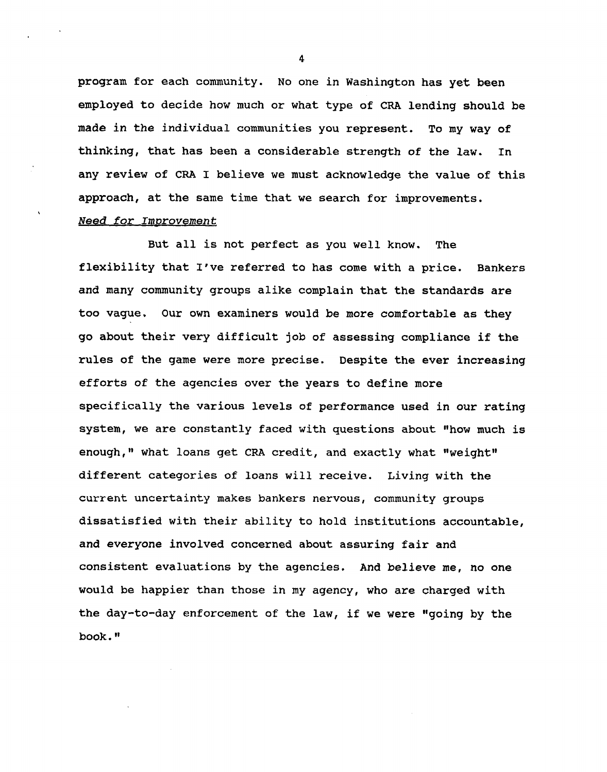**program for each community. No one in Washington has yet been employed to decide how much or what type of CRA lending should be made in the individual communities you represent. To my way of thinking, that has been a considerable strength of the law. In any review of CRA I believe we must acknowledge the value of this approach, at the same time that we search for improvements.** Need for Improvement

 $\lambda$ 

**But all is not perfect as you well know. The flexibility that I've referred to has come with a price. Bankers and many community groups alike complain that the standards are too vague. Our own examiners would be more comfortable as they go about their very difficult job of assessing compliance if the rules of the game were more precise. Despite the ever increasing efforts of the agencies over the years to define more specifically the various levels of performance used in our rating system, we are constantly faced with questions about "how much is enough," what loans get CRA credit, and exactly what "weight" different categories of loans will receive. Living with the current uncertainty makes bankers nervous, community groups dissatisfied with their ability to hold institutions accountable, and everyone involved concerned about assuring fair and consistent evaluations by the agencies. And believe me, no one would be happier than those in my agency, who are charged with the day-to-day enforcement of the law, if we were "going by the book."**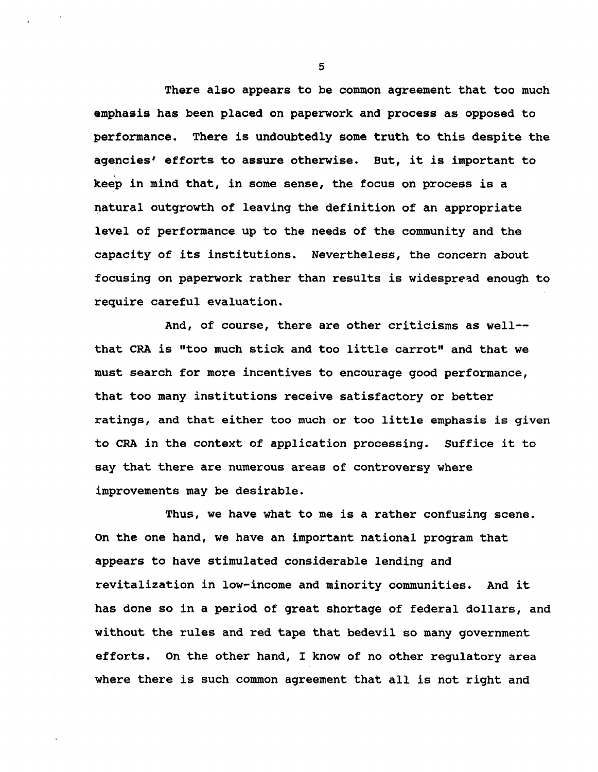**There also appears to be common agreement that too much emphasis has been placed on paperwork and process as opposed to performance. There is undoubtedly some truth to this despite the agencies' efforts to assure otherwise. But, it is important to keep in mind that, in some sense, the focus on process is a natural outgrowth of leaving the definition of an appropriate level of performance up to the needs of the community and the capacity of its institutions. Nevertheless, the concern about focusing on paperwork rather than results is widespread enough to require careful evaluation.**

**And, of course, there are other criticisms as well that CRA is "too much stick and too little carrot" and that we must search for more incentives to encourage good performance, that too many institutions receive satisfactory or better ratings, and that either too much or too little emphasis is given to CRA in the context of application processing. Suffice it to say that there are numerous areas of controversy where improvements may be desirable.**

**Thus, we have what to me is a rather confusing scene. On the one hand, we have an important national program that appears to have stimulated considerable lending and revitalization in low-income and minority communities. And it has done so in a period of great shortage of federal dollars, and without the rules and red tape that bedevil so many government efforts. On the other hand, I know of no other regulatory area where there is such common agreement that all is not right and**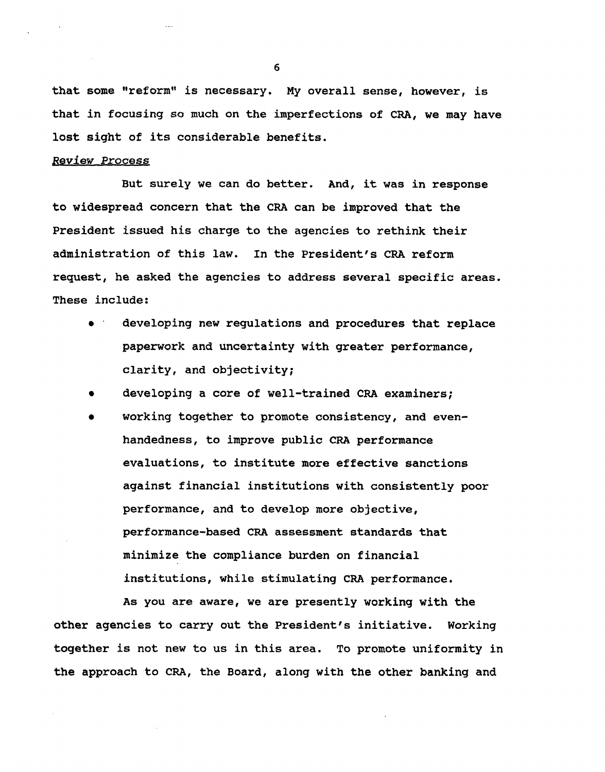**that some "reform" is necessary. My overall sense, however, is that in focusing so much on the imperfections of CRA, we may have lost sight of its considerable benefits.**

# **Review Process**

**But surely we can do better. And, it was in response to widespread concern that the CRA can be improved that the President issued his charge to the agencies to rethink their administration of this law. In the President's CRA reform request, he asked the agencies to address several specific areas. These include:**

- **• developing new regulations and procedures that replace paperwork and uncertainty with greater performance, clarity, and objectivity;**
- **• developing a core of well-trained CRA examiners;**
- **• working together to promote consistency, and evenhandedness, to improve public CRA performance evaluations, to institute more effective sanctions against financial institutions with consistently poor performance, and to develop more objective, performance-based CRA assessment standards that minimize the compliance burden on financial institutions, while stimulating CRA performance.**

**As you are aware, we are presently working with the other agencies to carry out the President's initiative. Working together is not new to us in this area. To promote uniformity in the approach to CRA, the Board, along with the other banking and**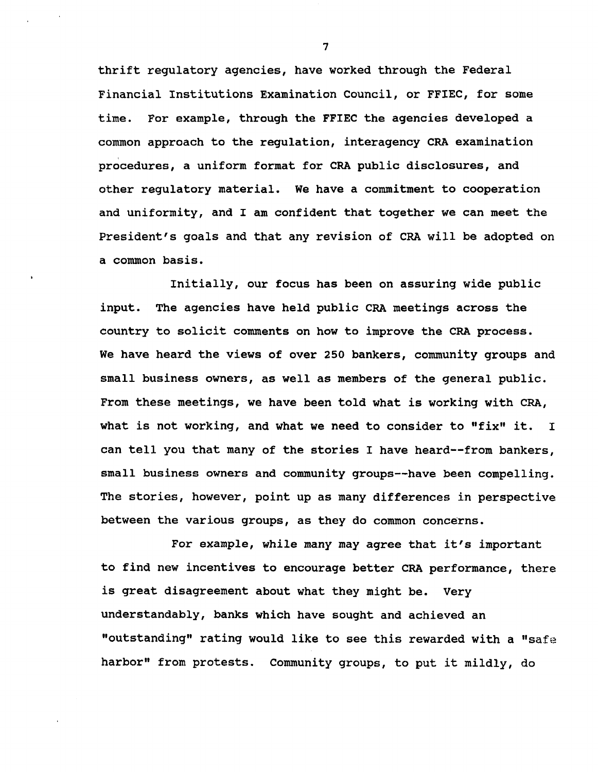**thrift regulatory agencies, have worked through the Federal Financial Institutions Examination Council, or FFIEC, for some time. For example, through the FFIEC the agencies developed a common approach to the regulation, interagency CRA examination procedures, a uniform format for CRA public disclosures, and other regulatory material. We have a commitment to cooperation and uniformity, and I am confident that together we can meet the President's goals and that any revision of CRA will be adopted on a common basis.**

**Initially, our focus has been on assuring wide public input. The agencies have held public CRA meetings across the country to solicit comments on how to improve the CRA process. We have heard the views of over 250 bankers, community groups and small business owners, as well as members of the general public. From these meetings, we have been told what is working with CRA, what is not working, and what we need to consider to "fix" it. I can tell you that many of the stories I have heard—from bankers, small business owners and community groups—have been compelling. The stories, however, point up as many differences in perspective between the various groups, as they do common concerns.**

**For example, while many may agree that it's important to find new incentives to encourage better CRA performance, there is great disagreement about what they might be. Very understandably, banks which have sought and achieved an "outstanding" rating would like to see this rewarded with a "safe harbor" from protests. Community groups, to put it mildly, do**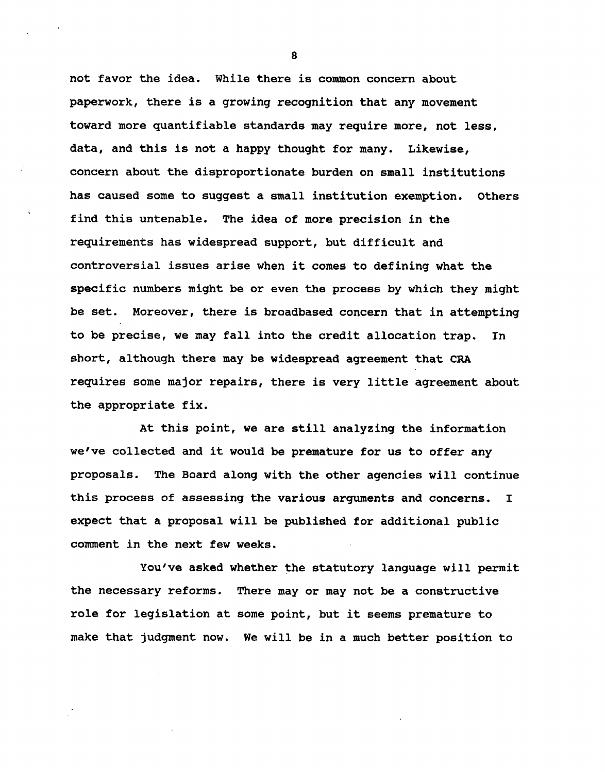**not favor the idea. While there is common concern about paperwork, there is a growing recognition that any movement toward more quantifiable standards may require more, not less, data, and this is not a happy thought for many. Likewise, concern about the disproportionate burden on small institutions has caused some to suggest a small institution exemption. Others find this untenable. The idea of more precision in the requirements has widespread support, but difficult and controversial issues arise when it comes to defining what the specific numbers might be or even the process by which they might be set. Moreover, there is broadbased concern that in attempting to be precise, we may fall into the credit allocation trap. In short, although there may be widespread agreement that CRA requires some major repairs, there is very little agreement about the appropriate fix.**

**At this point, we are still analyzing the information we've collected and it would be premature for us to offer any proposals. The Board along with the other agencies will continue this process of assessing the various arguments and concerns. I expect that a proposal will be published for additional public comment in the next few weeks.**

**You've asked whether the statutory language will permit the necessary reforms. There may or may not be a constructive role for legislation at some point, but it seems premature to make that judgment now. We will be in a much better position to**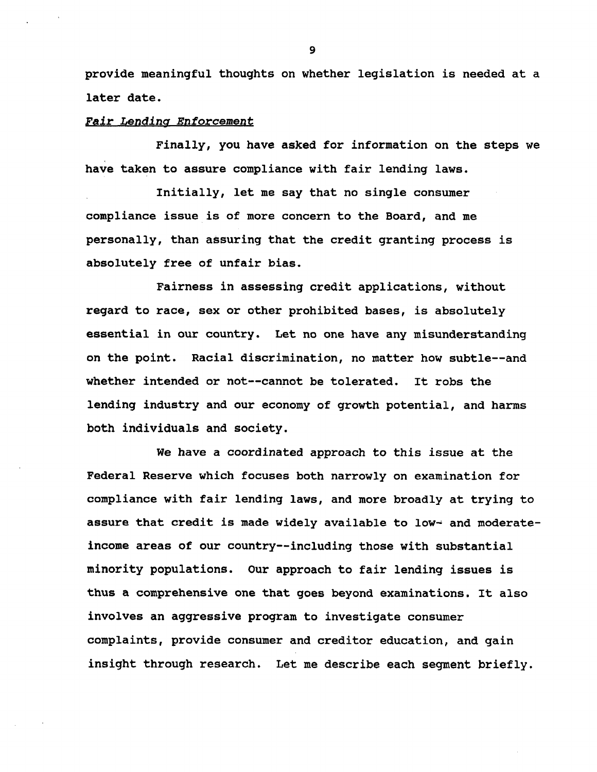**provide meaningful thoughts on whether legislation is needed at a later date.**

### Fair Lending Enforcement

**Finally, you have asked for information on the steps we have taken to assure compliance with fair lending laws.**

**Initially, let me say that no single consumer compliance issue is of more concern to the Board, and me personally, than assuring that the credit granting process is absolutely free of unfair bias.**

**Fairness in assessing credit applications, without regard to race, sex or other prohibited bases, is absolutely essential in our country. Let no one have any misunderstanding on the point. Racial discrimination, no matter how subtle—and whether intended or not—cannot be tolerated. It robs the lending industry and our economy of growth potential, and harms both individuals and society.**

**We have a coordinated approach to this issue at the Federal Reserve which focuses both narrowly on examination for compliance with fair lending laws, and more broadly at trying to assure that credit is made widely available to low- and moderateincome areas of our country—including those with substantial minority populations. Our approach to fair lending issues is thus a comprehensive one that goes beyond examinations. It also involves an aggressive program to investigate consumer complaints, provide consumer and creditor education, and gain insight through research. Let me describe each segment briefly.**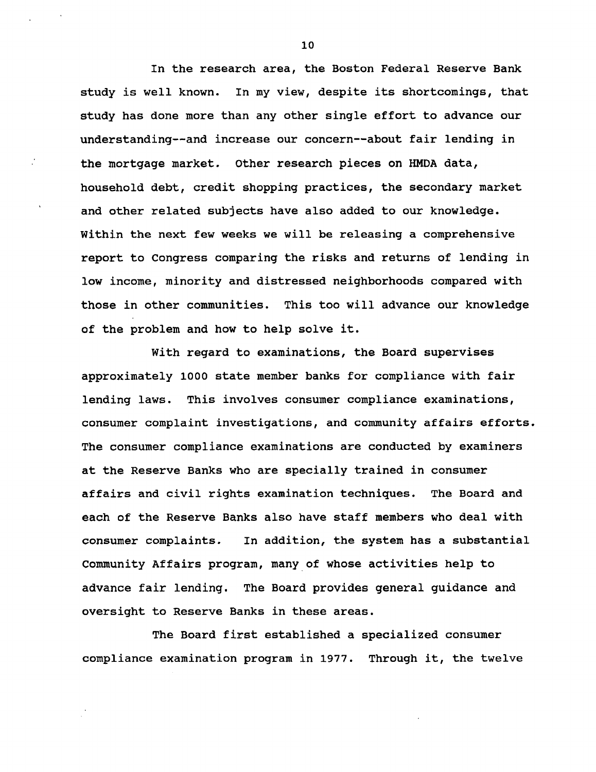**In the research area, the Boston Federal Reserve Bank study is well known. In my view, despite its shortcomings, that study has done more than any other single effort to advance our understanding—and increase our concern—about fair lending in the mortgage market. Other research pieces on HMDA data, household debt, credit shopping practices, the secondary market and other related subjects have also added to our knowledge. Within the next few weeks we will be releasing a comprehensive report to Congress comparing the risks and returns of lending in low income, minority and distressed neighborhoods compared with those in other communities. This too will advance our knowledge of the problem and how to help solve it.**

**With regard to examinations, the Board supervises approximately 1000 state member banks for compliance with fair lending laws. This involves consumer compliance examinations, consumer complaint investigations, and community affairs efforts. The consumer compliance examinations are conducted by examiners at the Reserve Banks who are specially trained in consumer affairs and civil rights examination techniques. The Board and each of the Reserve Banks also have staff members who deal with consumer complaints. In addition, the system has a substantial Community Affairs program, many of whose activities help to advance fair lending. The Board provides general guidance and oversight to Reserve Banks in these areas.**

**The Board first established a specialized consumer compliance examination program in 1977. Through it, the twelve**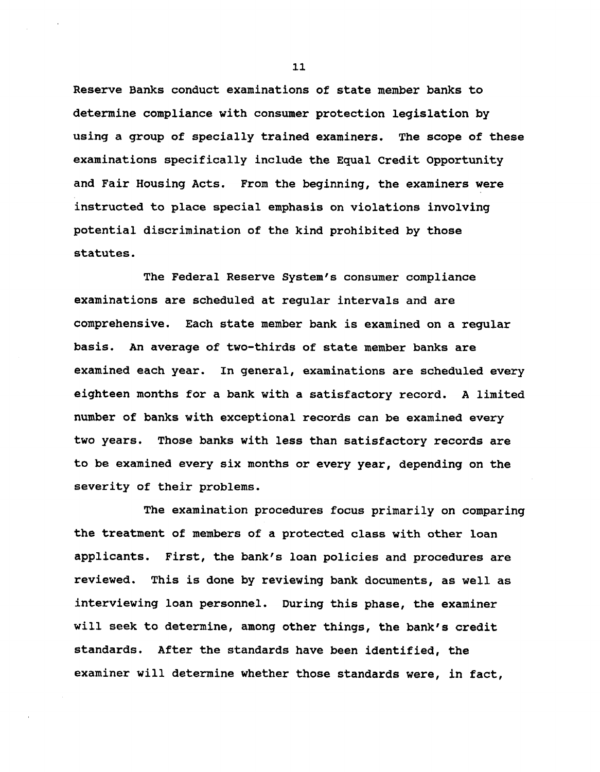**Reserve Banks conduct examinations of state member banks to determine compliance with consumer protection legislation by using a group of specially trained examiners. The scope of these examinations specifically include the Equal Credit Opportunity and Fair Housing Acts. From the beginning, the examiners were instructed to place special emphasis on violations involving potential discrimination of the kind prohibited by those statutes.**

**The Federal Reserve System's consumer compliance examinations are scheduled at regular intervals and are comprehensive. Each state member bank is examined on a regular basis. An average of two-thirds of state member banks are examined each year. In general, examinations are scheduled every eighteen months for a bank with a satisfactory record. A limited number of banks with exceptional records can be examined every two years. Those banks with less than satisfactory records are to be examined every six months or every year, depending on the severity of their problems.**

**The examination procedures focus primarily on comparing the treatment of members of a protected class with other loan applicants. First, the bank's loan policies and procedures are reviewed. This is done by reviewing bank documents, as well as interviewing loan personnel. During this phase, the examiner will seek to determine, among other things, the bank's credit standards. After the standards have been identified, the examiner will determine whether those standards were, in fact,**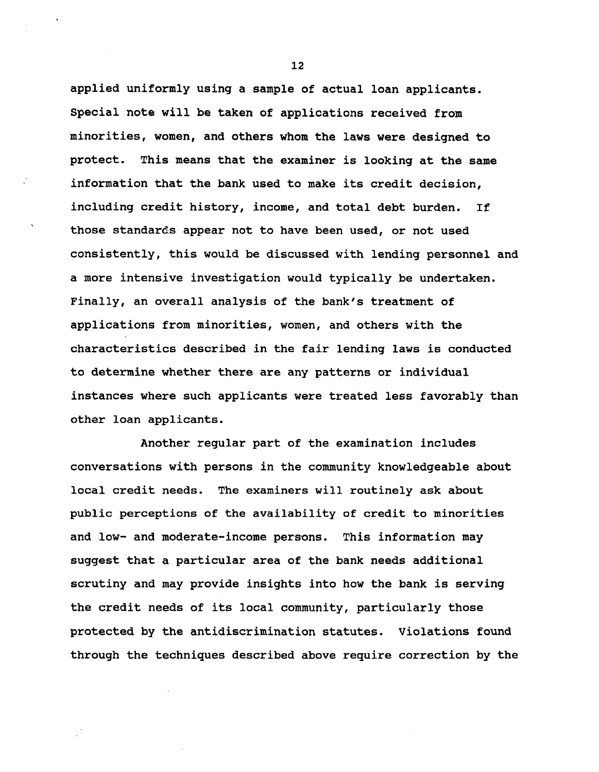**applied uniformly using a sample of actual loan applicants. Special note will be taken of applications received from minorities, women, and others whom the laws were designed to protect. This means that the examiner is looking at the same information that the bank used to make its credit decision, including credit history, income, and total debt burden. If those standards appear not to have been used, or not used consistently, this would be discussed with lending personnel and a more intensive investigation would typically be undertaken. Finally, an overall analysis of the bank's treatment of applications from minorities, women, and others with the characteristics described in the fair lending laws is conducted to determine whether there are any patterns or individual instances where such applicants were treated less favorably than other loan applicants.**

**Another regular part of the examination includes conversations with persons in the community knowledgeable about local credit needs. The examiners will routinely ask about public perceptions of the availability of credit to minorities and low- and moderate-income persons. This information may suggest that a particular area of the bank needs additional scrutiny and may provide insights into how the bank is serving the credit needs of its local community, particularly those protected by the antidiscrimination statutes. Violations found through the techniques described above require correction by the**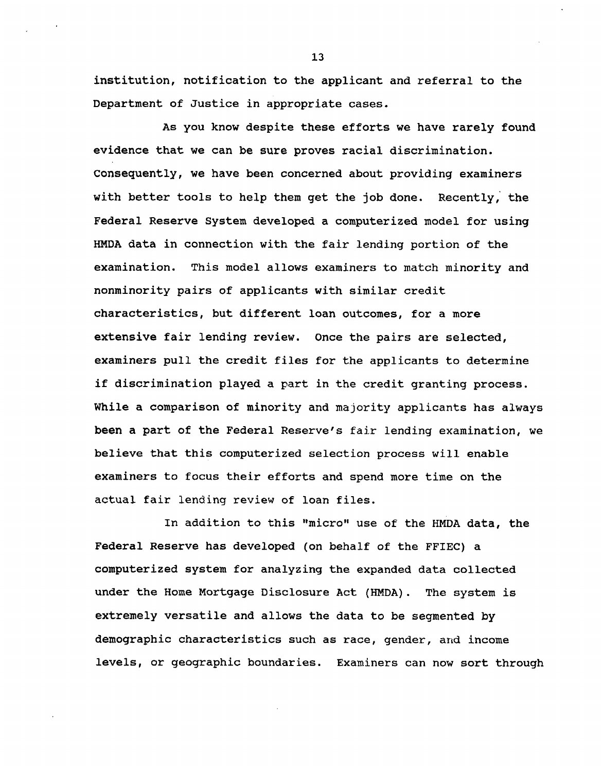**institution, notification to the applicant and referral to the Department of Justice in appropriate cases.**

**As you know despite these efforts we have rarely found evidence that we can be sure proves racial discrimination. Consequently, we have been concerned about providing examiners with better tools to help them get the job done. Recently, the Federal Reserve System developed a computerized model for using HMDA data in connection with the fair lending portion of the examination. This model allows examiners to match minority and nonminority pairs of applicants with similar credit characteristics, but different loan outcomes, for a more extensive fair lending review. Once the pairs are selected, examiners pull the credit files for the applicants to determine if discrimination played a part in the credit granting process. While a comparison of minority and majority applicants has always been a part of the Federal Reserve's fair lending examination, we believe that this computerized selection process will enable examiners to focus their efforts and spend more time on the actual fair lending review of loan files.**

**In addition to this "micro" use of the HMDA data, the Federal Reserve has developed (on behalf of the FFIEC) a computerized system for analyzing the expanded data collected under the Home Mortgage Disclosure Act (HMDA). The system is extremely versatile and allows the data to be segmented by demographic characteristics such as race, gender, and income levels, or geographic boundaries. Examiners can now sort through**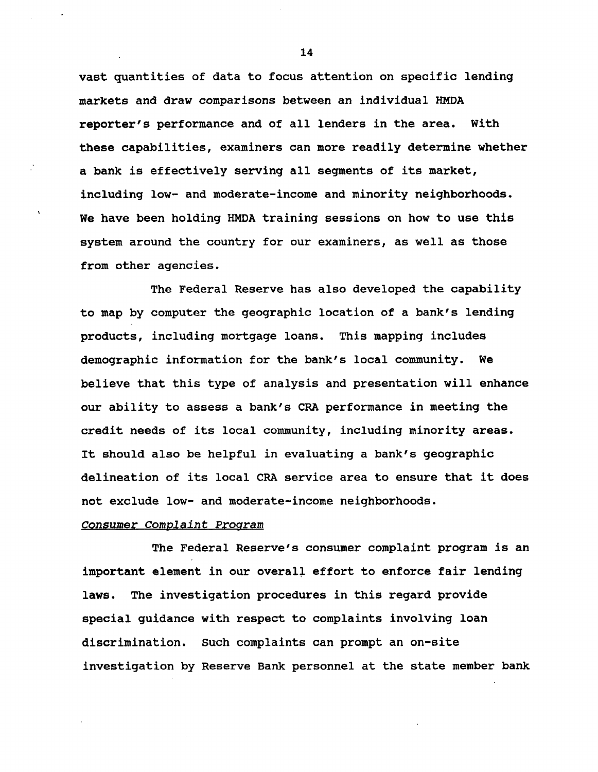**vast quantities of data to focus attention on specific lending markets and draw comparisons between an individual HMDA reporter's performance and of all lenders in the area. With these capabilities, examiners can more readily determine whether a bank is effectively serving all segments of its market, including low- and moderate-income and minority neighborhoods. We have been holding HMDA training sessions on how to use this system around the country for our examiners, as well as those from other agencies.**

**The Federal Reserve has also developed the capability to map by computer the geographic location of a bank's lending products, including mortgage loans. This mapping includes demographic information for the bank's local community. We believe that this type of analysis and presentation will enhance our ability to assess a bank's CRA performance in meeting the credit needs of its local community, including minority areas. It should also be helpful in evaluating a bank's geographic delineation of its local CRA service area to ensure that it does not exclude low- and moderate-income neighborhoods.**

# Consumer Complaint Program

**The Federal Reserve's consumer complaint program is an important element in our overall effort to enforce fair lending laws. The investigation procedures in this regard provide special guidance with respect to complaints involving loan discrimination. Such complaints can prompt an on-site investigation by Reserve Bank personnel at the state member bank**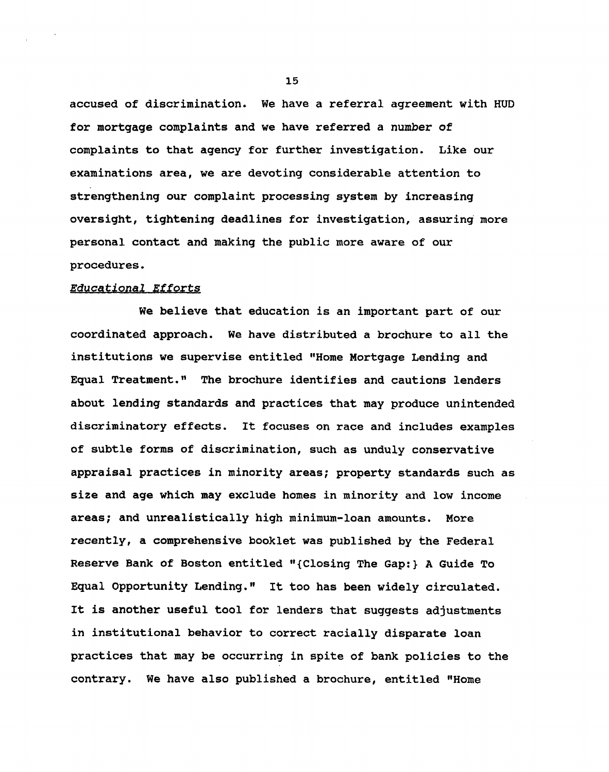**accused of discrimination. We have a referral agreement with HUD for mortgage complaints and we have referred a number of complaints to that agency for further investigation. Like our examinations area, we are devoting considerable attention to strengthening our complaint processing system by increasing oversight, tightening deadlines for investigation, assuring more personal contact and making the public more aware of our procedures.**

# **Educational Efforts**

**We believe that education is an important part of our coordinated approach. We have distributed a brochure to all the institutions we supervise entitled "Home Mortgage Lending and Equal Treatment." The brochure identifies and cautions lenders about lending standards and practices that may produce unintended discriminatory effects. It focuses on race and includes examples of subtle forms of discrimination, such as unduly conservative appraisal practices in minority areas; property standards such as size and age which may exclude homes in minority and low income areas; and unrealistically high minimum-loan amounts. More recently, a comprehensive booklet was published by the Federal Reserve Bank of Boston entitled "{Closing The Gap:} A Guide To Equal Opportunity Lending." It too has been widely circulated. It is another useful tool for lenders that suggests adjustments in institutional behavior to correct racially disparate loan practices that may be occurring in spite of bank policies to the contrary. We have also published a brochure, entitled "Home**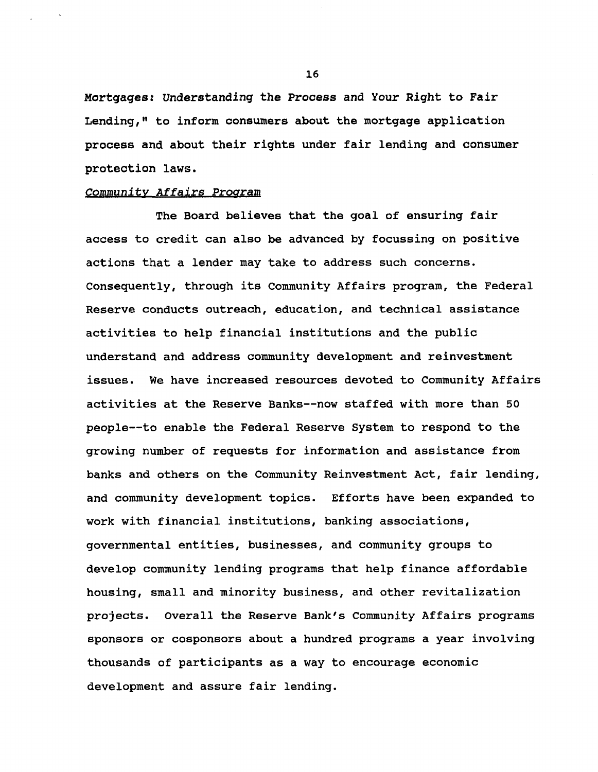**Mortgages! Understanding the Process and Your Right to Fair Lending," to inform consumers about the mortgage application process and about their rights under fair lending and consumer protection laws.**

## Community Affairs Program

**The Board believes that the goal of ensuring fair access to credit can also be advanced by focussing on positive actions that a lender may take to address such concerns. Consequently, through its Community Affairs program, the Federal Reserve conducts outreach, education, and technical assistance activities to help financial institutions and the public understand and address community development and reinvestment issues. We have increased resources devoted to Community Affairs activities at the Reserve Banks—now staffed with more than 50 people—to enable the Federal Reserve System to respond to the growing number of requests for information and assistance from banks and others on the Community Reinvestment Act, fair lending, and community development topics. Efforts have been expanded to work with financial institutions, banking associations, governmental entities, businesses, and community groups to develop community lending programs that help finance affordable housing, small and minority business, and other revitalization projects. Overall the Reserve Bank's Community Affairs programs sponsors or cosponsors about a hundred programs a year involving thousands of participants as a way to encourage economic development and assure fair lending.**